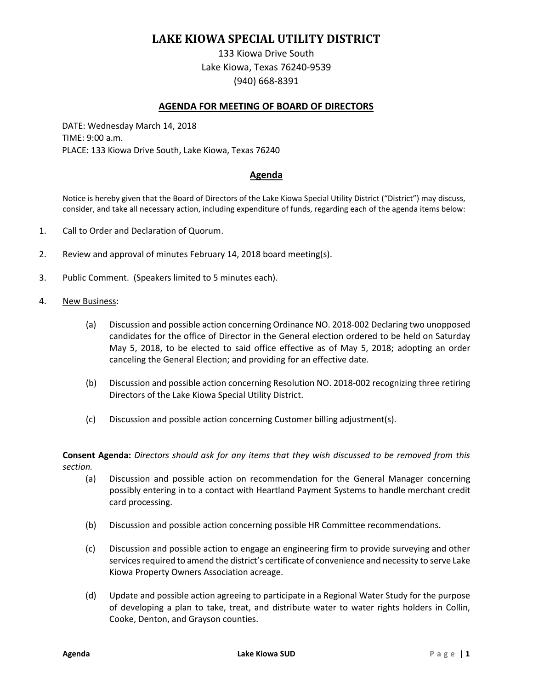# **LAKE KIOWA SPECIAL UTILITY DISTRICT**

133 Kiowa Drive South Lake Kiowa, Texas 76240-9539 (940) 668-8391

## **AGENDA FOR MEETING OF BOARD OF DIRECTORS**

DATE: Wednesday March 14, 2018 TIME: 9:00 a.m. PLACE: 133 Kiowa Drive South, Lake Kiowa, Texas 76240

## **Agenda**

Notice is hereby given that the Board of Directors of the Lake Kiowa Special Utility District ("District") may discuss, consider, and take all necessary action, including expenditure of funds, regarding each of the agenda items below:

- 1. Call to Order and Declaration of Quorum.
- 2. Review and approval of minutes February 14, 2018 board meeting(s).
- 3. Public Comment. (Speakers limited to 5 minutes each).
- 4. New Business:
	- (a) Discussion and possible action concerning Ordinance NO. 2018-002 Declaring two unopposed candidates for the office of Director in the General election ordered to be held on Saturday May 5, 2018, to be elected to said office effective as of May 5, 2018; adopting an order canceling the General Election; and providing for an effective date.
	- (b) Discussion and possible action concerning Resolution NO. 2018-002 recognizing three retiring Directors of the Lake Kiowa Special Utility District.
	- (c) Discussion and possible action concerning Customer billing adjustment(s).

**Consent Agenda:** *Directors should ask for any items that they wish discussed to be removed from this section.*

- (a) Discussion and possible action on recommendation for the General Manager concerning possibly entering in to a contact with Heartland Payment Systems to handle merchant credit card processing.
- (b) Discussion and possible action concerning possible HR Committee recommendations.
- (c) Discussion and possible action to engage an engineering firm to provide surveying and other services required to amend the district's certificate of convenience and necessity to serve Lake Kiowa Property Owners Association acreage.
- (d) Update and possible action agreeing to participate in a Regional Water Study for the purpose of developing a plan to take, treat, and distribute water to water rights holders in Collin, Cooke, Denton, and Grayson counties.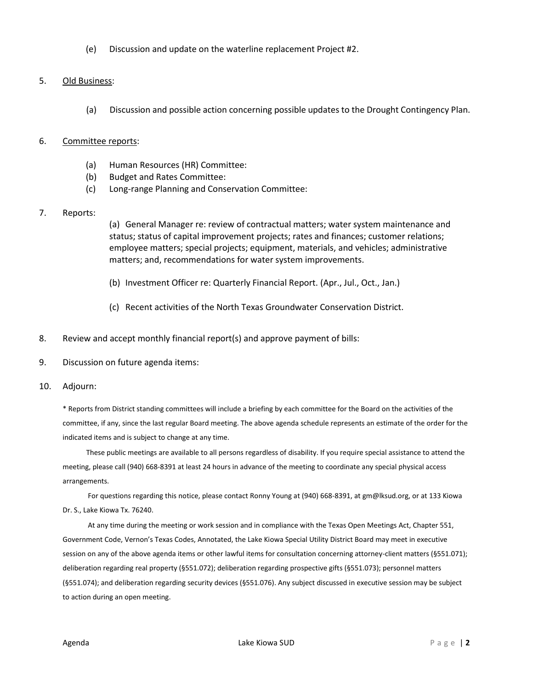(e) Discussion and update on the waterline replacement Project #2.

## 5. Old Business:

(a) Discussion and possible action concerning possible updates to the Drought Contingency Plan.

## 6. Committee reports:

- (a) Human Resources (HR) Committee:
- (b) Budget and Rates Committee:
- (c) Long-range Planning and Conservation Committee:

## 7. Reports:

(a) General Manager re: review of contractual matters; water system maintenance and status; status of capital improvement projects; rates and finances; customer relations; employee matters; special projects; equipment, materials, and vehicles; administrative matters; and, recommendations for water system improvements.

- (b) Investment Officer re: Quarterly Financial Report. (Apr., Jul., Oct., Jan.)
- (c) Recent activities of the North Texas Groundwater Conservation District.
- 8. Review and accept monthly financial report(s) and approve payment of bills:
- 9. Discussion on future agenda items:
- 10. Adjourn:

\* Reports from District standing committees will include a briefing by each committee for the Board on the activities of the committee, if any, since the last regular Board meeting. The above agenda schedule represents an estimate of the order for the indicated items and is subject to change at any time.

These public meetings are available to all persons regardless of disability. If you require special assistance to attend the meeting, please call (940) 668-8391 at least 24 hours in advance of the meeting to coordinate any special physical access arrangements.

For questions regarding this notice, please contact Ronny Young at (940) 668-8391, at gm@lksud.org, or at 133 Kiowa Dr. S., Lake Kiowa Tx. 76240.

At any time during the meeting or work session and in compliance with the Texas Open Meetings Act, Chapter 551, Government Code, Vernon's Texas Codes, Annotated, the Lake Kiowa Special Utility District Board may meet in executive session on any of the above agenda items or other lawful items for consultation concerning attorney-client matters (§551.071); deliberation regarding real property (§551.072); deliberation regarding prospective gifts (§551.073); personnel matters (§551.074); and deliberation regarding security devices (§551.076). Any subject discussed in executive session may be subject to action during an open meeting.